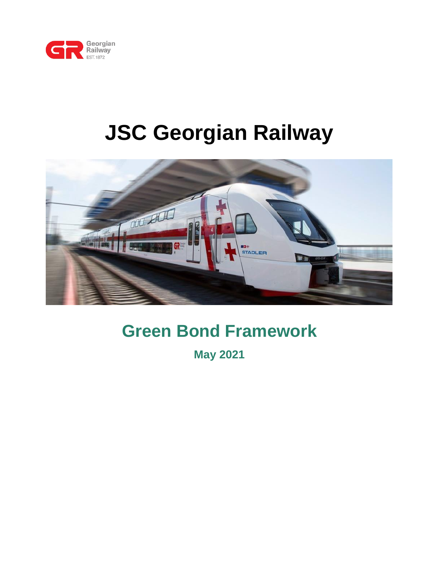

# **JSC Georgian Railway**



# **Green Bond Framework**

**May 2021**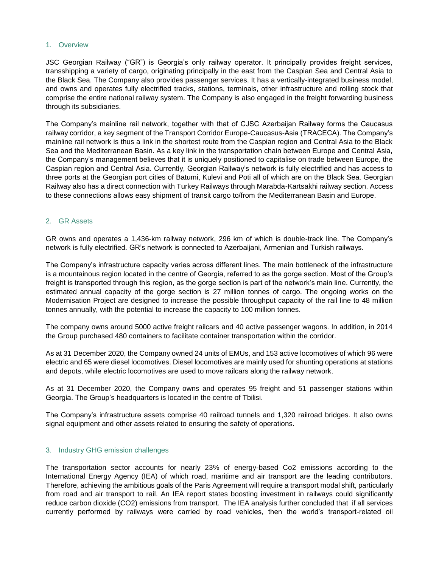#### 1. Overview

JSC Georgian Railway ("GR") is Georgia's only railway operator. It principally provides freight services, transshipping a variety of cargo, originating principally in the east from the Caspian Sea and Central Asia to the Black Sea. The Company also provides passenger services. It has a vertically-integrated business model, and owns and operates fully electrified tracks, stations, terminals, other infrastructure and rolling stock that comprise the entire national railway system. The Company is also engaged in the freight forwarding business through its subsidiaries.

The Company's mainline rail network, together with that of CJSC Azerbaijan Railway forms the Caucasus railway corridor, a key segment of the Transport Corridor Europe-Caucasus-Asia (TRACECA). The Company's mainline rail network is thus a link in the shortest route from the Caspian region and Central Asia to the Black Sea and the Mediterranean Basin. As a key link in the transportation chain between Europe and Central Asia, the Company's management believes that it is uniquely positioned to capitalise on trade between Europe, the Caspian region and Central Asia. Currently, Georgian Railway's network is fully electrified and has access to three ports at the Georgian port cities of Batumi, Kulevi and Poti all of which are on the Black Sea. Georgian Railway also has a direct connection with Turkey Railways through Marabda-Kartsakhi railway section. Access to these connections allows easy shipment of transit cargo to/from the Mediterranean Basin and Europe.

#### 2. GR Assets

GR owns and operates a 1,436-km railway network, 296 km of which is double-track line. The Company's network is fully electrified. GR's network is connected to Azerbaijani, Armenian and Turkish railways.

The Company's infrastructure capacity varies across different lines. The main bottleneck of the infrastructure is a mountainous region located in the centre of Georgia, referred to as the gorge section. Most of the Group's freight is transported through this region, as the gorge section is part of the network's main line. Currently, the estimated annual capacity of the gorge section is 27 million tonnes of cargo. The ongoing works on the Modernisation Project are designed to increase the possible throughput capacity of the rail line to 48 million tonnes annually, with the potential to increase the capacity to 100 million tonnes.

The company owns around 5000 active freight railcars and 40 active passenger wagons. In addition, in 2014 the Group purchased 480 containers to facilitate container transportation within the corridor.

As at 31 December 2020, the Company owned 24 units of EMUs, and 153 active locomotives of which 96 were electric and 65 were diesel locomotives. Diesel locomotives are mainly used for shunting operations at stations and depots, while electric locomotives are used to move railcars along the railway network.

As at 31 December 2020, the Company owns and operates 95 freight and 51 passenger stations within Georgia. The Group's headquarters is located in the centre of Tbilisi.

The Company's infrastructure assets comprise 40 railroad tunnels and 1,320 railroad bridges. It also owns signal equipment and other assets related to ensuring the safety of operations.

#### 3. Industry GHG emission challenges

The transportation sector accounts for nearly 23% of energy-based Co2 emissions according to the International Energy Agency (IEA) of which road, maritime and air transport are the leading contributors. Therefore, achieving the ambitious goals of the Paris Agreement will require a transport modal shift, particularly from road and air transport to rail. An IEA report states boosting investment in railways could significantly reduce carbon dioxide (CO2) emissions from transport. The IEA analysis further concluded that if all services currently performed by railways were carried by road vehicles, then the world's transport-related oil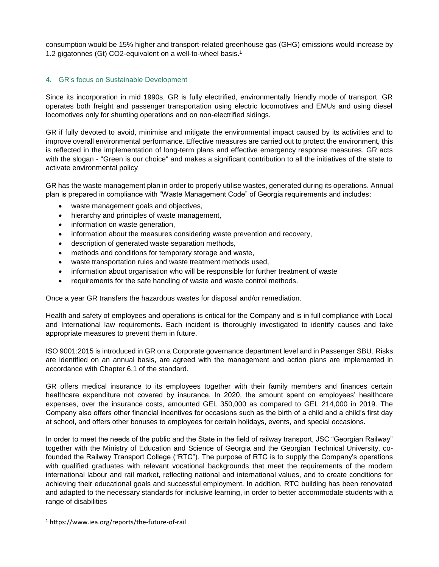consumption would be 15% higher and transport-related greenhouse gas (GHG) emissions would increase by 1.2 gigatonnes (Gt) CO2-equivalent on a well-to-wheel basis.<sup>1</sup>

# 4. GR's focus on Sustainable Development

Since its incorporation in mid 1990s, GR is fully electrified, environmentally friendly mode of transport. GR operates both freight and passenger transportation using electric locomotives and EMUs and using diesel locomotives only for shunting operations and on non-electrified sidings.

GR if fully devoted to avoid, minimise and mitigate the environmental impact caused by its activities and to improve overall environmental performance. Effective measures are carried out to protect the environment, this is reflected in the implementation of long-term plans and effective emergency response measures. GR acts with the slogan - "Green is our choice" and makes a significant contribution to all the initiatives of the state to activate environmental policy

GR has the waste management plan in order to properly utilise wastes, generated during its operations. Annual plan is prepared in compliance with "Waste Management Code" of Georgia requirements and includes:

- waste management goals and objectives,
- hierarchy and principles of waste management,
- information on waste generation,
- information about the measures considering waste prevention and recovery,
- description of generated waste separation methods,
- methods and conditions for temporary storage and waste,
- waste transportation rules and waste treatment methods used,
- information about organisation who will be responsible for further treatment of waste
- requirements for the safe handling of waste and waste control methods.

Once a year GR transfers the hazardous wastes for disposal and/or remediation.

Health and safety of employees and operations is critical for the Company and is in full compliance with Local and International law requirements. Each incident is thoroughly investigated to identify causes and take appropriate measures to prevent them in future.

ISO 9001:2015 is introduced in GR on a Corporate governance department level and in Passenger SBU. Risks are identified on an annual basis, are agreed with the management and action plans are implemented in accordance with Chapter 6.1 of the standard.

GR offers medical insurance to its employees together with their family members and finances certain healthcare expenditure not covered by insurance. In 2020, the amount spent on employees' healthcare expenses, over the insurance costs, amounted GEL 350,000 as compared to GEL 214,000 in 2019. The Company also offers other financial incentives for occasions such as the birth of a child and a child's first day at school, and offers other bonuses to employees for certain holidays, events, and special occasions.

In order to meet the needs of the public and the State in the field of railway transport, JSC "Georgian Railway" together with the Ministry of Education and Science of Georgia and the Georgian Technical University, cofounded the Railway Transport College ("RTC"). The purpose of RTC is to supply the Company's operations with qualified graduates with relevant vocational backgrounds that meet the requirements of the modern international labour and rail market, reflecting national and international values, and to create conditions for achieving their educational goals and successful employment. In addition, RTC building has been renovated and adapted to the necessary standards for inclusive learning, in order to better accommodate students with a range of disabilities

 $\overline{\phantom{a}}$ 

<sup>1</sup> https://www.iea.org/reports/the-future-of-rail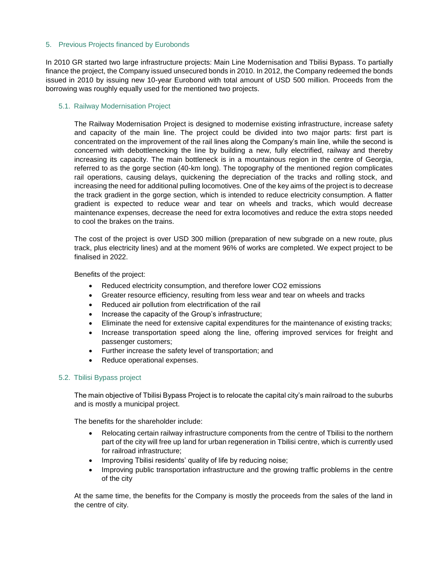# 5. Previous Projects financed by Eurobonds

In 2010 GR started two large infrastructure projects: Main Line Modernisation and Tbilisi Bypass. To partially finance the project, the Company issued unsecured bonds in 2010. In 2012, the Company redeemed the bonds issued in 2010 by issuing new 10-year Eurobond with total amount of USD 500 million. Proceeds from the borrowing was roughly equally used for the mentioned two projects.

# 5.1. Railway Modernisation Project

The Railway Modernisation Project is designed to modernise existing infrastructure, increase safety and capacity of the main line. The project could be divided into two major parts: first part is concentrated on the improvement of the rail lines along the Company's main line, while the second is concerned with debottlenecking the line by building a new, fully electrified, railway and thereby increasing its capacity. The main bottleneck is in a mountainous region in the centre of Georgia, referred to as the gorge section (40-km long). The topography of the mentioned region complicates rail operations, causing delays, quickening the depreciation of the tracks and rolling stock, and increasing the need for additional pulling locomotives. One of the key aims of the project is to decrease the track gradient in the gorge section, which is intended to reduce electricity consumption. A flatter gradient is expected to reduce wear and tear on wheels and tracks, which would decrease maintenance expenses, decrease the need for extra locomotives and reduce the extra stops needed to cool the brakes on the trains.

The cost of the project is over USD 300 million (preparation of new subgrade on a new route, plus track, plus electricity lines) and at the moment 96% of works are completed. We expect project to be finalised in 2022.

Benefits of the project:

- Reduced electricity consumption, and therefore lower CO2 emissions
- Greater resource efficiency, resulting from less wear and tear on wheels and tracks
- Reduced air pollution from electrification of the rail
- Increase the capacity of the Group's infrastructure;
- Eliminate the need for extensive capital expenditures for the maintenance of existing tracks;
- Increase transportation speed along the line, offering improved services for freight and passenger customers;
- Further increase the safety level of transportation; and
- Reduce operational expenses.

# 5.2. Tbilisi Bypass project

The main objective of Tbilisi Bypass Project is to relocate the capital city's main railroad to the suburbs and is mostly a municipal project.

The benefits for the shareholder include:

- Relocating certain railway infrastructure components from the centre of Tbilisi to the northern part of the city will free up land for urban regeneration in Tbilisi centre, which is currently used for railroad infrastructure;
- Improving Tbilisi residents' quality of life by reducing noise;
- Improving public transportation infrastructure and the growing traffic problems in the centre of the city

At the same time, the benefits for the Company is mostly the proceeds from the sales of the land in the centre of city.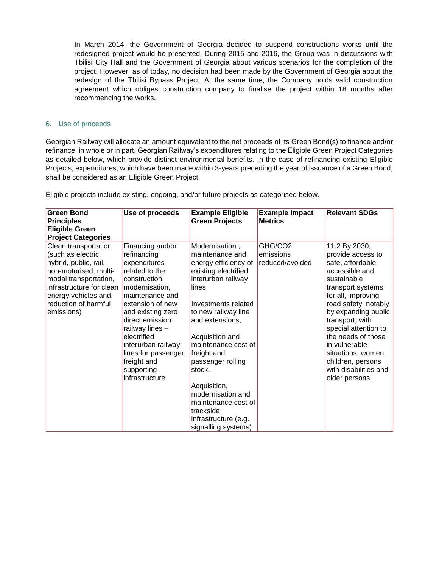In March 2014, the Government of Georgia decided to suspend constructions works until the redesigned project would be presented. During 2015 and 2016, the Group was in discussions with Tbilisi City Hall and the Government of Georgia about various scenarios for the completion of the project. However, as of today, no decision had been made by the Government of Georgia about the redesign of the Tbilisi Bypass Project. At the same time, the Company holds valid construction agreement which obliges construction company to finalise the project within 18 months after recommencing the works.

# 6. Use of proceeds

Georgian Railway will allocate an amount equivalent to the net proceeds of its Green Bond(s) to finance and/or refinance, in whole or in part, Georgian Railway's expenditures relating to the Eligible Green Project Categories as detailed below, which provide distinct environmental benefits. In the case of refinancing existing Eligible Projects, expenditures, which have been made within 3-years preceding the year of issuance of a Green Bond, shall be considered as an Eligible Green Project.

| <b>Green Bond</b><br><b>Principles</b><br><b>Eligible Green</b><br><b>Project Categories</b>                                                                                                                   | Use of proceeds                                                                                                                                                                                                                                                                                                     | <b>Example Eligible</b><br><b>Green Projects</b>                                                                                                                                                                                                                                                                                                                                                  | <b>Example Impact</b><br><b>Metrics</b> | <b>Relevant SDGs</b>                                                                                                                                                                                                                                                                                                                                      |
|----------------------------------------------------------------------------------------------------------------------------------------------------------------------------------------------------------------|---------------------------------------------------------------------------------------------------------------------------------------------------------------------------------------------------------------------------------------------------------------------------------------------------------------------|---------------------------------------------------------------------------------------------------------------------------------------------------------------------------------------------------------------------------------------------------------------------------------------------------------------------------------------------------------------------------------------------------|-----------------------------------------|-----------------------------------------------------------------------------------------------------------------------------------------------------------------------------------------------------------------------------------------------------------------------------------------------------------------------------------------------------------|
| Clean transportation<br>(such as electric,<br>hybrid, public, rail,<br>non-motorised, multi-<br>modal transportation,<br>infrastructure for clean<br>energy vehicles and<br>reduction of harmful<br>emissions) | Financing and/or<br>refinancing<br>expenditures<br>related to the<br>construction,<br>modernisation,<br>maintenance and<br>extension of new<br>and existing zero<br>direct emission<br>railway lines -<br>electrified<br>interurban railway<br>lines for passenger,<br>freight and<br>supporting<br>infrastructure. | Modernisation,<br>maintenance and<br>energy efficiency of<br>existing electrified<br>interurban railway<br>lines<br>Investments related<br>to new railway line<br>and extensions,<br>Acquisition and<br>maintenance cost of<br>freight and<br>passenger rolling<br>stock.<br>Acquisition,<br>modernisation and<br>maintenance cost of<br>trackside<br>infrastructure (e.g.<br>signalling systems) | GHG/CO2<br>emissions<br>reduced/avoided | 11.2 By 2030,<br>provide access to<br>safe, affordable,<br>accessible and<br>sustainable<br>transport systems<br>for all, improving<br>road safety, notably<br>by expanding public<br>transport, with<br>special attention to<br>the needs of those<br>in vulnerable<br>situations, women,<br>children, persons<br>with disabilities and<br>older persons |

Eligible projects include existing, ongoing, and/or future projects as categorised below.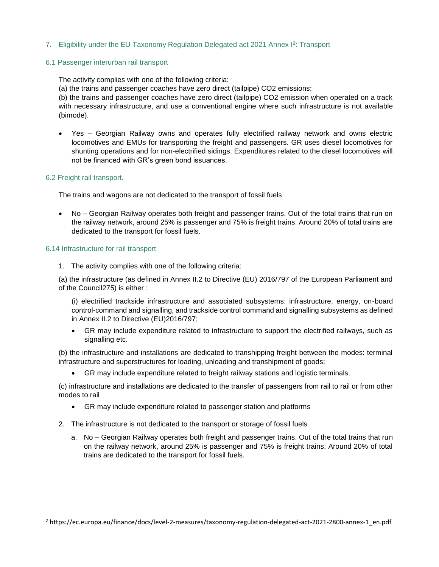# 7. Eligibility under the EU Taxonomy Regulation Delegated act 2021 Annex I**<sup>2</sup>** : Transport

#### 6.1 Passenger interurban rail transport

The activity complies with one of the following criteria:

(a) the trains and passenger coaches have zero direct (tailpipe) CO2 emissions;

(b) the trains and passenger coaches have zero direct (tailpipe) CO2 emission when operated on a track with necessary infrastructure, and use a conventional engine where such infrastructure is not available (bimode).

 Yes – Georgian Railway owns and operates fully electrified railway network and owns electric locomotives and EMUs for transporting the freight and passengers. GR uses diesel locomotives for shunting operations and for non-electrified sidings. Expenditures related to the diesel locomotives will not be financed with GR's green bond issuances.

#### 6.2 Freight rail transport.

 $\overline{\phantom{a}}$ 

The trains and wagons are not dedicated to the transport of fossil fuels

 No – Georgian Railway operates both freight and passenger trains. Out of the total trains that run on the railway network, around 25% is passenger and 75% is freight trains. Around 20% of total trains are dedicated to the transport for fossil fuels.

#### 6.14 Infrastructure for rail transport

1. The activity complies with one of the following criteria:

(a) the infrastructure (as defined in Annex II.2 to Directive (EU) 2016/797 of the European Parliament and of the Council275) is either :

(i) electrified trackside infrastructure and associated subsystems: infrastructure, energy, on-board control-command and signalling, and trackside control command and signalling subsystems as defined in Annex II.2 to Directive (EU)2016/797;

 GR may include expenditure related to infrastructure to support the electrified railways, such as signalling etc.

(b) the infrastructure and installations are dedicated to transhipping freight between the modes: terminal infrastructure and superstructures for loading, unloading and transhipment of goods;

GR may include expenditure related to freight railway stations and logistic terminals.

(c) infrastructure and installations are dedicated to the transfer of passengers from rail to rail or from other modes to rail

- GR may include expenditure related to passenger station and platforms
- 2. The infrastructure is not dedicated to the transport or storage of fossil fuels
	- a. No Georgian Railway operates both freight and passenger trains. Out of the total trains that run on the railway network, around 25% is passenger and 75% is freight trains. Around 20% of total trains are dedicated to the transport for fossil fuels.

<sup>2</sup> https://ec.europa.eu/finance/docs/level-2-measures/taxonomy-regulation-delegated-act-2021-2800-annex-1\_en.pdf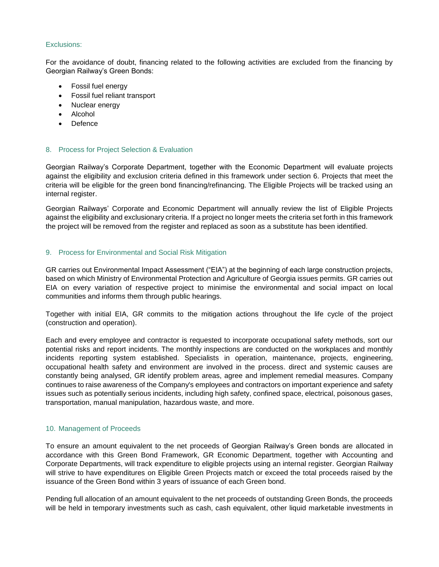#### Exclusions:

For the avoidance of doubt, financing related to the following activities are excluded from the financing by Georgian Railway's Green Bonds:

- Fossil fuel energy
- Fossil fuel reliant transport
- Nuclear energy
- Alcohol
- Defence

# 8. Process for Project Selection & Evaluation

Georgian Railway's Corporate Department, together with the Economic Department will evaluate projects against the eligibility and exclusion criteria defined in this framework under section 6. Projects that meet the criteria will be eligible for the green bond financing/refinancing. The Eligible Projects will be tracked using an internal register.

Georgian Railways' Corporate and Economic Department will annually review the list of Eligible Projects against the eligibility and exclusionary criteria. If a project no longer meets the criteria set forth in this framework the project will be removed from the register and replaced as soon as a substitute has been identified.

#### 9. Process for Environmental and Social Risk Mitigation

GR carries out Environmental Impact Assessment ("EIA") at the beginning of each large construction projects, based on which Ministry of Environmental Protection and Agriculture of Georgia issues permits. GR carries out EIA on every variation of respective project to minimise the environmental and social impact on local communities and informs them through public hearings.

Together with initial EIA, GR commits to the mitigation actions throughout the life cycle of the project (construction and operation).

Each and every employee and contractor is requested to incorporate occupational safety methods, sort our potential risks and report incidents. The monthly inspections are conducted on the workplaces and monthly incidents reporting system established. Specialists in operation, maintenance, projects, engineering, occupational health safety and environment are involved in the process. direct and systemic causes are constantly being analysed, GR identify problem areas, agree and implement remedial measures. Company continues to raise awareness of the Company's employees and contractors on important experience and safety issues such as potentially serious incidents, including high safety, confined space, electrical, poisonous gases, transportation, manual manipulation, hazardous waste, and more.

#### 10. Management of Proceeds

To ensure an amount equivalent to the net proceeds of Georgian Railway's Green bonds are allocated in accordance with this Green Bond Framework, GR Economic Department, together with Accounting and Corporate Departments, will track expenditure to eligible projects using an internal register. Georgian Railway will strive to have expenditures on Eligible Green Projects match or exceed the total proceeds raised by the issuance of the Green Bond within 3 years of issuance of each Green bond.

Pending full allocation of an amount equivalent to the net proceeds of outstanding Green Bonds, the proceeds will be held in temporary investments such as cash, cash equivalent, other liquid marketable investments in